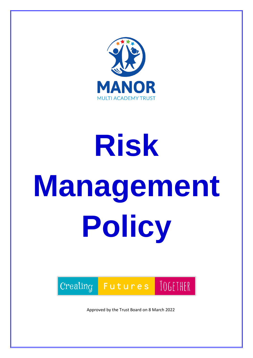

# **Risk Management Policy**



Approved by the Trust Board on 8 March 2022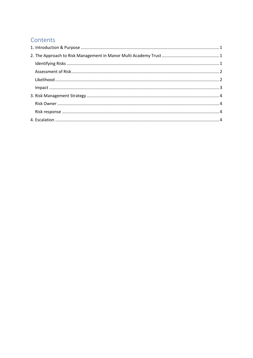# Contents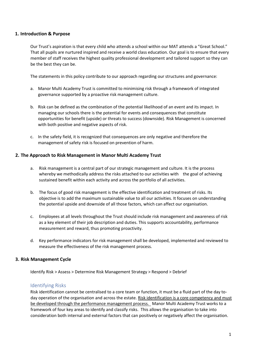## <span id="page-2-0"></span>**1. Introduction & Purpose**

Our Trust's aspiration is that every child who attends a school within our MAT attends a "Great School." That all pupils are nurtured inspired and receive a world class education. Our goal is to ensure that every member of staff receives the highest quality professional development and tailored support so they can be the best they can be.

The statements in this policy contribute to our approach regarding our structures and governance:

- a. Manor Multi Academy Trust is committed to minimising risk through a framework of integrated governance supported by a proactive risk management culture.
- b. Risk can be defined as the combination of the potential likelihood of an event and its impact. In managing our schools there is the potential for events and consequences that constitute opportunities for benefit (upside) or threats to success (downside). Risk Management is concerned with both positive and negative aspects of risk.
- c. In the safety field, it is recognized that consequences are only negative and therefore the management of safety risk is focused on prevention of harm.

## <span id="page-2-1"></span>**2. The Approach to Risk Management in Manor Multi Academy Trust**

- a. Risk management is a central part of our strategic management and culture. It is the process whereby we methodically address the risks attached to our activities with the goal of achieving sustained benefit within each activity and across the portfolio of all activities.
- b. The focus of good risk management is the effective identification and treatment of risks. Its objective is to add the maximum sustainable value to all our activities. It focuses on understanding the potential upside and downside of all those factors, which can affect our organisation.
- c. Employees at all levels throughout the Trust should include risk management and awareness of risk as a key element of their job description and duties. This supports accountability, performance measurement and reward, thus promoting proactivity.
- d. Key performance indicators for risk management shall be developed, implemented and reviewed to measure the effectiveness of the risk management process.

## **3. Risk Management Cycle**

Identify Risk > Assess > Determine Risk Management Strategy > Respond > Debrief

## <span id="page-2-2"></span>Identifying Risks

Risk identification cannot be centralised to a core team or function, it must be a fluid part of the day today operation of the organisation and across the estate. Risk identification is a core competency and must be developed through the performance management process. Manor Multi Academy Trust works to a framework of four key areas to identify and classify risks. This allows the organisation to take into consideration both internal and external factors that can positively or negatively affect the organisation.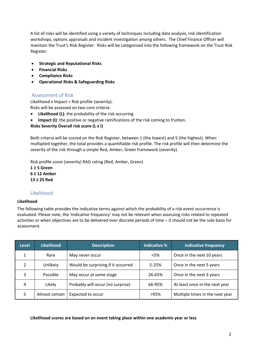A list of risks will be identified using a variety of techniques including data analysis, risk identification workshops, options appraisals and incident investigation among others. The Chief Finance Officer will maintain the Trust's Risk Register. Risks will be categorised into the following framework on the Trust Risk Register:

- **Strategic and Reputational Risks**
- **Financial Risks**
- **Compliance Risks**
- **Operational Risks & Safeguarding Risks**

# <span id="page-3-0"></span>Assessment of Risk

Likelihood x Impact = Risk profile (severity). Risks will be assessed on two core criteria:

- **Likelihood (L)**: the probability of the risk occurring
- **Impact (I)**: the positive or negative ramifications of the risk coming to fruition.

**Risks Severity Overall risk score (L x I)** 

Both criteria will be scored on the Risk Register, between 1 (the lowest) and 5 (the highest). When multiplied together, the total provides a quantifiable risk profile. The risk profile will then determine the severity of the risk through a simple Red, Amber, Green framework (severity).

Risk profile score (severity) RAG rating (Red, Amber, Green)

**1 ≥ 5 Green 6 ≥ 12 Amber 13 ≥ 25 Red** 

# Likelihood

## <span id="page-3-1"></span>**Likelihood**

The following table provides the indicative terms against which the probability of a risk event occurrence is evaluated. Please note, the 'Indicative frequency' may not be relevant when assessing risks related to repeated activities or when objectives are to be delivered over discrete periods of time – it should not be the sole basis for assessment.

| <b>Level</b> | <b>Likelihood</b> | <b>Description</b>                 |           | <b>Indicative frequency</b>     |  |
|--------------|-------------------|------------------------------------|-----------|---------------------------------|--|
|              | Rare              | May never occur                    | $<$ 5%    | Once in the next 10 years       |  |
| C            | Unlikely          | Would be surprising if it occurred | $5 - 25%$ | Once in the next 5 years        |  |
| 3            | Possible          | May occur at some stage            | 26-65%    | Once in the next 3 years        |  |
| 4            | Likely            | Probably will occur (no surprise)  | 66-95%    | At least once in the next year  |  |
| 5            | Almost certain    | Expected to occur                  | >95%      | Multiple times in the next year |  |

## **Likelihood scores are based on an event taking place within one academic year or less**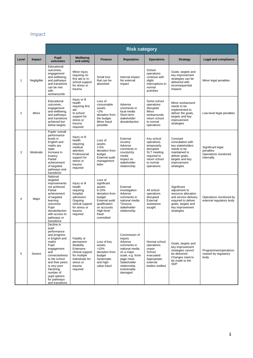# Impact

<span id="page-4-0"></span>

|                |            | <b>Risk category</b>                                                                                                                                                                                                                                           |                                                                                                                                               |                                                                                                                                                                 |                                                                                                                                                                                  |                                                                                                                                |                                                                                                                                                           |                                                                      |
|----------------|------------|----------------------------------------------------------------------------------------------------------------------------------------------------------------------------------------------------------------------------------------------------------------|-----------------------------------------------------------------------------------------------------------------------------------------------|-----------------------------------------------------------------------------------------------------------------------------------------------------------------|----------------------------------------------------------------------------------------------------------------------------------------------------------------------------------|--------------------------------------------------------------------------------------------------------------------------------|-----------------------------------------------------------------------------------------------------------------------------------------------------------|----------------------------------------------------------------------|
| Level          | Impact     | <b>Pupil</b><br>outcomes                                                                                                                                                                                                                                       | Wellbeing<br>and safety                                                                                                                       | <b>Finance</b>                                                                                                                                                  | <b>Reputation</b>                                                                                                                                                                | <b>Operations</b>                                                                                                              | <b>Strategy</b>                                                                                                                                           | Legal and compliance                                                 |
| 1              | Negligible | Educational<br>outcomes,<br>engagement<br>and wellbeing,<br>and pathways<br>and transitions<br>can be met<br>with<br>workarounds                                                                                                                               | Minor injury<br>requiring no<br>first aid or in-<br>school support<br>for stress or<br>trauma                                                 | Small loss<br>that can be<br>absorbed                                                                                                                           | Internal impact<br>No external<br>impact                                                                                                                                         | School<br>operations<br>continue with<br>slight<br>interruptions to<br>normal<br>activities                                    | Goals, targets and<br>key improvement<br>strategies can be<br>delivered with<br>inconsequential<br>impacts                                                | Minor legal penalties                                                |
| $\overline{2}$ | Minor      | Educational<br>outcomes,<br>engagement<br>and wellbeing,<br>and pathways<br>and transitions<br>achieved but<br>below targets                                                                                                                                   | Injury or ill<br>health<br>requiring first<br>aid<br>In-school<br>support for<br>stress or<br>trauma<br>required                              | Loss of<br>consumable<br>assets<br><2%<br>deviation from<br>the budget<br>Minor fraud<br>possible                                                               | Adverse<br>comments in<br>local media<br>Short-term<br>stakeholder<br>dissatisfaction                                                                                            | Some school<br>operations<br>disrupted<br>Minor<br>workarounds<br>return school<br>to normal<br>operations                     | Minor workaround<br>needs to be<br>implemented to<br>deliver the goals,<br>targets and key<br>improvement<br>strategies                                   | Low-level legal penalties                                            |
| 3              | Moderate   | Pupils' overall<br>performance<br>levels in<br>English and<br>maths are<br>static<br>Increase in<br>truancy<br>Partial<br>achievement<br>of targeted<br>pathways and<br>transitions                                                                            | Injury or ill<br>health<br>requiring<br>medical<br>attention<br>Professional<br>support for<br>stress or<br>trauma<br>required                | Loss of<br>assets<br>$2 - 5%$<br>deviation from<br>budget<br>External audit<br>management<br>letter                                                             | External<br>scrutiny<br>Adverse<br>comments in<br>county/city<br>media<br>Impact on<br>stakeholder<br>relationship                                                               | Key school<br>operations<br>temporarily<br>disrupted<br>SLT meeting<br>required to<br>return school<br>to normal<br>operations | Constant<br>consultation with<br>key stakeholders<br>needs to be<br>maintained to<br>deliver goals,<br>targets and key<br>improvement<br>strategies       | Significant legal<br>penalties<br>Operations monitored<br>internally |
| 4              | Major      | National<br>targeted<br>improvements<br>not achieved<br>Partial<br>achievement<br>of targeted<br>learning<br>outcomes<br>Pupil<br>dissatisfaction<br>with access to<br>pathways or<br>transitions                                                              | Injury or ill<br>health<br>requiring<br>hospital<br>admission<br>Ongoing<br>clinical support<br>for stress or<br>trauma<br>required           | Loss of<br>significant<br>assets<br>$6 - 15%$<br>deviation from<br>budget<br>External audit<br>qualification<br>on accounts<br>High-level<br>fraud<br>committed | External<br>investigation<br>Adverse<br>comments in<br>national media<br>Tenuous<br>stakeholder<br>relationship                                                                  | All school<br>operations<br>disrupted<br>External<br>assistance<br>sought                                                      | Significant<br>adjustment to<br>resource allocation<br>and service delivery<br>required to deliver<br>goals, targets and<br>key improvement<br>strategies | Operations monitored by<br>external regulatory body                  |
| 5              | Severe     | Decline in<br>pupil<br>performance<br>and progress<br>in English and<br>maths<br>Pupil<br>engagement<br>and<br>connectedness<br>to the school<br>and their peers<br>is very poor<br>Declining<br>number of<br>pupil options<br>for pathways<br>and transitions | Fatality or<br>permanent<br>disability<br>Extensive<br>clinical support<br>for multiple<br>individuals for<br>stress or<br>trauma<br>required | Loss of key<br>assets<br>>15%<br>deviation from<br>budget<br>Systematic<br>and high-<br>value fraud                                                             | Commission of<br>inquiry<br>Adverse<br>comments in<br>national media<br>on a major<br>scale, e.g. front-<br>page news<br>Stakeholder<br>relationship<br>irretrievably<br>damaged | Normal school<br>operations<br>cease<br>School<br>evacuated<br>Appropriate<br>external<br>bodies notified                      | Goals, targets and<br>key improvement<br>strategies cannot<br>be delivered<br>Changes need to<br>be made to the<br><b>SDP</b>                             | Programmes/operations<br>ceased by regulatory<br>body                |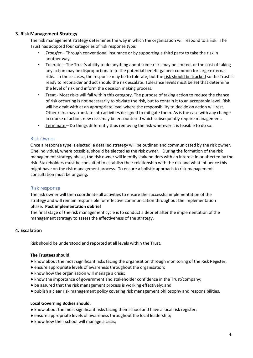## <span id="page-5-0"></span>**3. Risk Management Strategy**

The risk management strategy determines the way in which the organisation will respond to a risk. The Trust has adopted four categories of risk response type:

- *Transfer*  Through conventional insurance or by supporting a third party to take the risk in another way.
- Tolerate The Trust's ability to do anything about some risks may be limited, or the cost of taking any action may be disproportionate to the potential benefit gained: common for large external risks. In these cases, the response may be to tolerate, but the risk should be tracked so the Trust is ready to reconsider and act should the risk escalate. Tolerance levels must be set that determine the level of risk and inform the decision making process.
- Treat Most risks will fall within this category. The purpose of taking action to reduce the chance of risk occurring is not necessarily to obviate the risk, but to contain it to an acceptable level. Risk will be dealt with at an appropriate level where the responsibility to decide on action will rest. Other risks may translate into activities designed to mitigate them. As is the case with any change in course of action, new risks may be encountered which subsequently require management.
- Terminate Do things differently thus removing the risk wherever it is feasible to do so.

## <span id="page-5-1"></span>Risk Owner

Once a response type is elected, a detailed strategy will be outlined and communicated by the risk owner. One individual, where possible, should be elected as the risk owner. During the formation of the risk management strategy phase, the risk owner will identify stakeholders with an interest in or affected by the risk. Stakeholders must be consulted to establish their relationship with the risk and what influence this might have on the risk management process. To ensure a holistic approach to risk management consultation must be ongoing.

## <span id="page-5-2"></span>Risk response

The risk owner will then coordinate all activities to ensure the successful implementation of the strategy and will remain responsible for effective communication throughout the implementation phase. **Post implementation debrief** 

The final stage of the risk management cycle is to conduct a debrief after the implementation of the management strategy to assess the effectiveness of the strategy.

# <span id="page-5-3"></span>**4. Escalation**

Risk should be understood and reported at all levels within the Trust.

## **The Trustees should:**

- know about the most significant risks facing the organisation through monitoring of the Risk Register;
- ensure appropriate levels of awareness throughout the organisation;
- know how the organisation will manage a crisis;
- know the importance of government and stakeholder confidence in the Trust/company;
- be assured that the risk management process is working effectively; and
- publish a clear risk management policy covering risk management philosophy and responsibilities.

## **Local Governing Bodies should:**

- know about the most significant risks facing their school and have a local risk register;
- ensure appropriate levels of awareness throughout the local leadership;
- know how their school will manage a crisis;